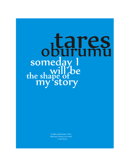# tares somed a the shape of  $\mathbf{b}\mathbf{e}$ ry

*A stellar performance. Tares Oburumu returns us to truth.* —Carl Terver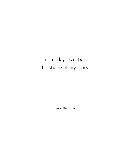# someday i will be the shape of my story

**Tares Oburumu**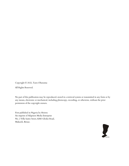Copyright © 2022, Tares Oburumu

All Rights Reserved.

No part of this publication may be reproduced, stored in a retrieval system or transmitted in any form or by any means, electronic or mechanical, including photocopy, recording, or otherwise, without the prior permission of the copyright owners.

First published in Nigeria by Heiress An imprint of Afapinen Media Enterprise No. 2 Villa Suites Street, KM3 Gboko Road, Makurdi, Benue.

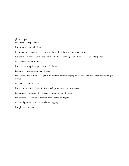glory to lagos

first glory – a shape of music

first music – a note full of water

first water – a boat drowns in the waves of a book read many times after a dream

first dream – my father who plays a harp & thinks about living in an island another word for paradise

first paradise – annie & toyboats

first toyboats – a painting of swans in the future

first future – notebooks & piano lessons

first lessons – the picture of the girl in front of the universe singing a note halved in two almost the drawing of islands

first island – mother & jazz

first jazz – sasha like a flower in field which grows as wild as the universe

first universe – hope. or what can equally mean light in the dark

first darkness - the distance between finima  $\&$  the headlights

first headlights – new york city, a letter. or glory

first glory – last glory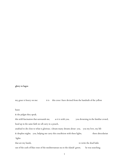# **glory to lagos**

my grace is heavy on me: it is this cross i have devised from the handrails of the yellow

#### buses

& the pidgin they speak.

this wild fascination that surrounds me, as it is with you. you drowning in the familiar crowd, head up in the same faith we all carry in a pouch,

unafraid to die close to what is glorious. i dream many dreams about you, you my love, my life & sleepless nights. you, helping me carry this crucifixion with these lights, these abecedarian lights

that are my hands, to write the dead hafiz out of the curls of blue roses of the mediterranean sea to the islands' green. he was searching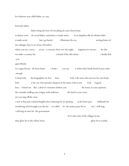for whatever was called father, as i am,

heavenly father.

father being the love of everything far away from home.

in finima town the word father, sometimes, is made water, & its shapeless silk of colorless habit is made word. but i go lustral, i illuminate the sea, writing letters of my unhappy days to an ocean of brothers

where you are a wave, an arc - a crescent, bent over the night, happiness  $\&$  sorrow; the dirt we make a country for, a brand of the old colony. The a brand of the old colony.

you,

quite British

in a sugar factory far from home  $-$  home - you say, is where they break bread  $\&$  pour wine enough

to keep holy the biographies we live. here, holy is the man who survives his own body. holy is the one who preaches diaspora in the name of the Lord, God Lugard. here, i found out that a shed of sweetness shelters you: the honey in your opinions, the contralto stuffing your tongue with audience, the basil in your voice. yet you sing off the roots.

i wait at that post-colonial English door, listening for an opening as the hours pass brilliantly by, wondering what brought you this far. is it debt? let the money pray for us. sin? i will sing, i will sing an emo for the government.

if it is the color of the villages in me,

then glory be to the yellow buses. glory be to exodus.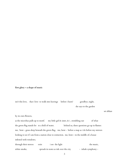# **first glory – a shape of music**

isn't this love, that i love to walk into leavings before i burn? goodbye, night, she says to the garden set ablaze by its own flowers, as the microbus pulls up to motif. my little girl & sister, & i , trembling out of what the green flag stands for to a field of water. behind us, these questions go up in flames: me, bent - grass-deep beneath the green flag. me, bent - before a map as i do before my mirrors looking to see if i am from a nation close to extinction. me, bent – in the middle of a house infested with windows. through their stereos exits i see the light the music

| $\frac{1}{2}$ | $\ddotsc$ | $1000$ $0.10$ $1.00$                   | $0.110$ $0.1100$    |
|---------------|-----------|----------------------------------------|---------------------|
| white smoke,  |           | spreads its notes as ink over the city | - inhale symphony - |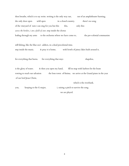then breathe, which is to say write. writing is the only way out, out of an amphitheater burning, the only door open wild open in a closed country. there's no song of the vineyard of ruin i can sing for you but this this, only this: *across the borders, i am a field of stars.* step inside the chorus leafing through my arms to the orchestra where we have come to, the pre-colonial communists

still fishing, like the blue sea's addicts, in a dead precolonial time. step inside the music. & pray it is home, with bowls of piney lakes built around it,

for everything that burns. for everything that stays shapeless,

is the glory of water.  $\alpha$  then you open my hand, fill its map with harbors for the boats rowing to reach our salvation the lone town of finima. we arrive at the Grand piano in the year of our lord Jesus Christ,

which is the riverbank.

you, keeping to the G major, i, raising a pitch to survive the song

we are played.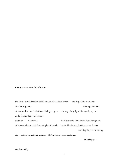#### **first music – a note full of water**

the boats i rowed the slow child i was, to what i have become are shaped like memories, or acoustic guitars mooring the music of how we live in a field of water living on grass. the day of my light, like any day spent in the dream, that i will become starburst, moonshine, is this aureola i find in the live photograph of baby-mother & child drowning by oil vessels; hands full of water, holding on to the net catching six years of fishing. above us float the national anthem - 1967s, future tenses, the luxury

in letting go -

# *nigeria is calling*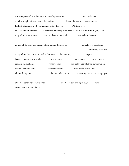| & these syntax of hairs doping in & out of asphyxiation,                               |                              | now, make me                                                            |  |  |  |
|----------------------------------------------------------------------------------------|------------------------------|-------------------------------------------------------------------------|--|--|--|
| see clearly a plot of fatherland – the horizon.<br>i swan the vast love between mother |                              |                                                                         |  |  |  |
| & child, skimming God - the religion of foreshadows.                                   |                              | O littoral love,                                                        |  |  |  |
| i believe in you, survival.                                                            |                              | i believe in breathing more than as i do inhale my faith in you, death. |  |  |  |
| O grief, O intervention,                                                               | have i not been vaticinated? | we will not die now,                                                    |  |  |  |
| in spite of the cemetery, in spite of the nations dying in us.                         |                              | we make it to the shore,<br>committing existence.                       |  |  |  |
| today, i hold that history striated in this poem                                       | this painting                | to you,                                                                 |  |  |  |
| because i have met my mother                                                           | many times                   | in the colors<br>we lay in sand                                         |  |  |  |
| echoing the sunlight.                                                                  | what you say,                | you didn't see what we have swam into? -                                |  |  |  |
| the time that's to come                                                                | the written shore            | read by the waters in us.                                               |  |  |  |
| <i>i</i> butterfly my mercy                                                            | the rose in her hands        | incensing this prayer any prayer,                                       |  |  |  |

bless me, father, for i have sinned. which is to say, she is just a girl who doesn't know how to die yet.

6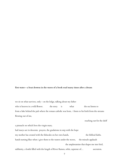#### **first water – a boat drowns in the waves of a book read many times after a dream**

we sit on what survives, only – on the ledge, talking about my father who is heaven in a wild flower. the story is what the sea listens to from a lake behind the pub where the roman catholic was born, i listen to his birth from the streams flowing out of me,

reaching out for the shelf

a pinnacle on which lives the virgin mary. hail marys are in descents; prayers, the gradations in step with the hope my mother has created with the fishscales on her own hands, the biblical faiths. hands turning blue when i give them to the waters under the waves, the miracle applauds the amphetamine that shapes me into bird, sublimity, a bottle filled with the length of River Ramos, orbit, capstone of... ascension.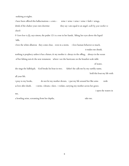seafaring at nights.

i have been offered this hallucinations – a mix - wine + wine + wine + wine + faith + wings, drink of the chalice your own doctrine they say i am equal to an angel. *walk by your mother to church*

*& learn how to fly,* says simon, the psalm 121 is a rose in her hands, lifting her eyes above the liquid hills.

i love the white albatross they come clear, even in a storm. i love human behavior so much,

it makes me drunk.

nothing is prophecy unless it has a future, & my mother is always in the offing, always in the ocean of her fishing nets & the new testament. where i see the hurricane on the beaufort scale table

of water,

she sings the hallelujah. God breaks his boat in two. father! she calls me by my earthly name, hold this boat my life with

all your life.

me,

i pray to my books, do not let my mother drown. i put my life around her like arms wide as love after death. i swim. i dream. i slave. i violate, carrying my mother across her grave.

i open the waters in

a howling seine, screaming from her depths, take me.

8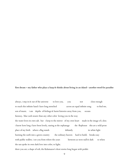first dream - my father who plays a harp & thinks about living in an island - another word for paradise

always, i step in & out of the universe to love you, you not close enough to reach this infinite hand i have long stretched across an equal infinite song to find me, son of music. i am depths of feelings & burnt histories away from you, oceans faraway, blue curls nearer than any other color loving you in the way the water loves its own salt. but i keep to the mirror of my own heart made in the image of a doe; i know how long i have been lovely, staring at the orphanage the flophouse this art a wild prose place of my birth where a flag stands defiantly its white light burning the earth into a green country the ordinary heaven hard to build, breaks easy with public wallets. i see you from where the years between us were null  $\alpha$  dark to when the sun spoke its own dark love into color, to light;

there you are; a shape of soli, the Kalamazoo's short stories long began with pedals: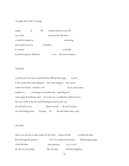1st pedal: first of his 47 strings

| shapes                       | of | the        | broken sentences you lift, |                   |  |  |
|------------------------------|----|------------|----------------------------|-------------------|--|--|
| eyes close,                  |    |            | you raise the still water  |                   |  |  |
| to hold the dream in         |    |            |                            | one string        |  |  |
| then bead it over us;        |    | 4 brothers |                            |                   |  |  |
| & 3 sisters,                 |    |            |                            | you build         |  |  |
| by destroying the old future |    |            | in us:                     | the new orchestra |  |  |

# 2nd pedal

you lift your foot, heavy with rhythms, off the little stage, or nest, & here comes the white albatross the wind riding it, the season. under this heaven, a trawler is lit by its own power; mother & i, careening our wooden ship spooling nets with origin & heirloom sand. it's in the way i modify her with new love, the way i look at the oil vessels floating around us, the way we sail back to sea, almost eternal, the way he plays us to the fishing lines; his hope for the days better than a day.

#### 3rd pedal

| when you ask me to make music for the dead i repair my life, |                                |                       | <i>i</i> remake the harp, |
|--------------------------------------------------------------|--------------------------------|-----------------------|---------------------------|
| flow through the present                                     | into the strings in his hands, |                       | fall through images       |
| of the life after                                            | into question,                 | <i>do we exist?</i>   |                           |
| the day of your death,                                       | like any day;                  | stills the kingfisher |                           |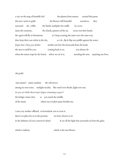a city on the map of bramble leaf the planets form stanzas around this poem this sun i write in gold, the flowers still beautiful around us, they surround the coffin. the family multiplies the traffic by seven times the centuries. the clouds, painters of the sea never rest their hands. the egrets still fly in formations.  $\&$  i keep crossing the same river the same way they keep their oars white in the sky,  $\qquad \qquad$  as i do dip  $\alpha$  flap my paddle against the water. *forgive how i bury you, brother.* mother sets free the barracuda from the hook. she says it could be you, coming back to us, you always do when the music stops by the beach, where we sit in it, mending the nets, repairing our lives.

## 4th pedal

tam samuel - name: andante the call moves among its own notes, sunlight arcadia, like wind over shrubs, light over star. *do you ever think about mary's fingers strumming exegesis?* the bridge comes clear as you touch the middle of the music where my revolute spine fortifies me.

i carry my mother offhand, on horseback, not to cross it. there's no place for us in the promise. we have chosen to sit in the darkness of your concert  $\&$  island  $\&$  see all the light that surrounds us from the galax

which is infinite, which is the true flower.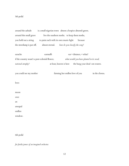# 5th pedal

around the aubade is a small nigerian town almost a hospice almond-green. around this small grave live the southern moths. to keep them moths, you hold out a string to paint each with its own music-light because the streetlamp is put off, almost eternal. *how do you classify the song?* earache earmuffs earnumers ear + distance, + what? if the country wasn't a post-colonial flower, *what would you have planted in its stead, national atrophy?* at least, heaven is here the burg your dead son waters. you could see my mother farming her endless love of you in the chorus. love: moon over an unequal endless window.

6th pedal

*for farida james of an imagined orchestra*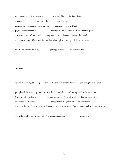in an evening walk in december, the rain falling in broken glasses, a piano like an umbrella from your past came to play its favorite roof over you. i remembered The Dead, Joyce's transparent music through which we were all titled after the grace & the reflection of the world: an expanse that descends through the clouds. there was so much Christmas in you that when i picked up my little lights to meet you,

i found mother in the rain, pairing threads to dress the day.

7th pedal

"play island," i say, & i forgot to ask, before i remembered the shore you thought was a boat.

you played the waters up to the brick walls, up to the room housing the link between me & the invisible hallows.  $\bullet$  between symphony & the clear silence that we were alive, so close to the flowers the glitter of the gravestones. or diamonds? the years flooded the harp & your absence. & in the morning of your dream, before the music ended,

we woke up, floating in each other's arms, past paradise: mother & i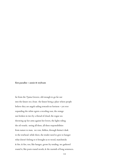# **first paradise – annie & toyboats**

far from the Tjama Groove, old enough to go far out into the future on a boat; the future being a place where people believe they are angels sailing towards no horizon – yet ever expanding the white egrets a receding soar, the orange sun broken in two by a thread of cloud, the rogue sea throwing up her arms against her lovers, the lights riding the oil vessels; seeing all these, all these responsibilities from nature to man, we row, fishless, through finima's dusk to the towhead. while there, the tender need to give to hunger what doesn't belong to it brought us to wood, matchsticks & fire. & fire, too, like hunger, grows by tending. we gathered round it, like poets round words, & the warmth of long sentences.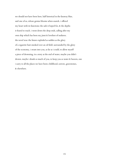we should not have been here, half historical in the faraway blue, said one of us, whose genius blooms when seasick. i offered my heart with its functions: the sails it hoped for, & the depths it feared to reach. i went down the deep ends, calling after my own ship which has been my jinni & loveliest of seafarers. the novel was: the future exploded as sudden as the glory of a cigarette butt smoked over an oil field. surrounded by the glory of the economy, i swam into you, as far as i could, to allow myself a piece of drowning. in a story at the end of water, maybe you didn't drown. maybe i drank so much of you, to keep you as water & heaven, one i carry to all the places we have been: childhood, sorrow, gravestones, & elsewhere.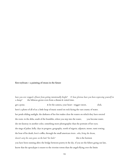# **first toyboats – a painting of swans in the future**

have you ever stopped a flower from getting intentionally bright? E how glorious have you been expressing yourself in *a dump?* the hibiscus grows even from a distant & rotted time.

get a poise.  $\&$  let the camera, your heart - trigger-sweet, click. here's a photo of all of us: a little heap of music seated on rock facing the vast county of water. her petals eliding sunlight. the darkness of her feet makes clear the waters on which they have erected the roots. in the delta, south of the brambles, when you step into the water, you become water. she sits faraway in another color, something more photographic than the portraits of her eyes; she sings of jadun. kelly. days in progress. geography. north of nigeria. adjuncts. moses. rumi rowing the boat of his death, love's coffin, through the small american rivers . *who, living the dream, doesn't carry his own grave on the hair? his halo?* this is the horizon you have been running after; the bridge between poetry & the sky. if you see the fishers going out late, know that the apocalypse is nearer to the riverine towns than the angels flying over the limits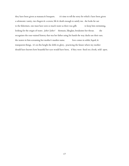they have been given as manana & bouquets. it's time to tell the story for which i have been given a solomonic vanity, two fingers & a screen, life & death enough to satisfy me. she looks far out to the fishermen. one must have seen so much water as there was gills to keep him swimming, looking for the origin of water. *father! father!* themusic*,* likeglass*,* breaksinto her throat. she recognizes the sour-stained history that was her father using his hands the way ducks use their oars. the waters in him screaming her mother's maiden name. love comes in solids, liquid, & transparent things. it's on this height she drifts in glory, practicing the future where my mother should have known how beautiful her eyes would have been, if they were fixed on a book, wild open.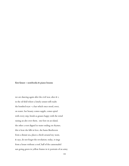# **first future – notebooks & piano lessons**

we are dancing again after the civil war, alice & i, in the oil field where a lonely sonnet still exults the bombed tryst – a hut which once stood, erect, on water. her beauty comes supple, comes spiral with every step, bends as grasses happy with the wind raising an alto over them. one foot on an island, the other a root dipped in water ending on rhymes. this is how she falls in love. she hums Beethoven from a distant sea, places a throb around my waist, & says, do not forget the revolution. today, it sings from a house without a roof, half of the cannonaded sun going green in yellow frames in it; portraits of an army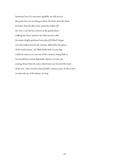hammered out of a necessary squabble. we did not see the graves but we are living in them, far better than the dead, far better than the fibre-boat erased by bullets off the river. i am the boy, brown as the grand piano, walking the shore, primed for what survives after the music-bright gunboats have played JS Bach's fugue over the small towns by the streams, affected by the graces of the serial sonatas. the black bullet hole in your leg could not stop us, as i run out of the country, losing faith as one would lose certain disposable objects, to meet you coming down from the arms which bore you beyond the reach of the war. here, we have danced half a century away, & this is how we learn the art of the future: we hop.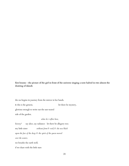first lessons - the picture of the girl in front of the universe singing a note halved in two almost the **drawing of islands**

the sea begins its journey from the mirror in her hands. & this is the genesis. let there be mystery, glorious enough to write out the sun-seared side of the garden. *what do i reflect here, history?* say alice, say radiance: let there be allegory too; my little sister *without form & void, & she was black upon the face of the deep; & the spirit of the queen moved over the waters.* we breathe the earth well,

if we share with the little stars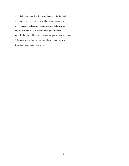such daily diamonds that flow from here to light the mesh. the maze is my little life, bent like the question mark, a roof over my little sister a loud example of loneliness. my mother says the city doesn't belong to a woman, who, broken by public work, gathers her pieces beneath a man. & i do not know. but i know how i have ceased to grow from these dark waters into a boy.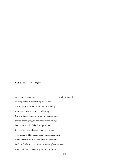# **first island – mother & jazz**

once upon a jaded time of a lone seagull swirling home in the evening sea, to rest the tired day – visibly triumphing in a windy sinfonietta over stone-shots, subterfuge & the ordinary heavens, i swam my mazes, under that southern glory, up the small river running between me & the federal troops to the inheritance – the adagio surrounded by waters which sounded like biafra, nearly vietnam; ancient lands, fertile as death, passed on to me as adeste fidelis & fiddlestick. *do i belong to a state of war? or music?* maybe we can get a country for each of us, to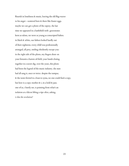flourish in loneliness & music, leaving the old flag-waver to his anger - scattered here  $\&$  there like Easter eggs. maybe we can get a photo of the osprey. the last time we appeared in a battlefield with gravestones keen as talons, we were as young as conscripted babies. in black & white, our fathers looked hardly out of their eighteens. every child was professionally arranged, all prey, smiling obediently except you: in the right side of the photo, my fingers draw on your forearm a barren oil field, your hands closing together in a secret dig. over the years, this photo had been the legend of the music industry. the stars had all sang it, once or twice. despite the rumpus, & the notes ferried in a boat to syma, no one could find a copy. but here is a copy: mother  $\&$  i, in a hold  $\&$  jazz. one of us, i barely see, is pointing from what's an isolation at a falcon lifting a ripe olive, asking, *is that the revolution?*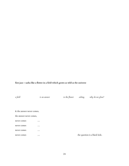**first jazz – sasha like a flower in a field which grows as wild as the universe**

*a field is an answer to the flower asking, why do we glow?* & the answer never comes, the answer never comes, never comes … never comes … never comes … never comes … the question is a black hole.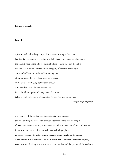& there, is bomadi.

#### **bomadi**

*a field -* my hands as bright as petals are crescents rising to her jaws. her lips, like passion fruits, cut simply in half pinks, simply open the doors. & i, the entrant, have all the gifts for the night. love coming through the lights. the love that cannot be made without the glory of the eyes watching it. at the end of the room is the endless photograph of our universe; the boy i have become, wrapped in the arms of the hagiography i seek, the girl a humble-bee bent like a question mark, in a colorful inscription of honey under the drone i always think to be this music spooling silences like nets around me;

*are you pregnant for us?*

*is an answer –* if the field outside the maternity was a theatre, & i am a burning rat torched by the world torched by the cost of living it. if the flames were waves, & you are the ocean, what in the name of our Lord, Desire, is our first kiss; this beautiful storm all electrical, all symphony. in another frontier, the colors ultra & bleeding closes, i could see the moon, a voluminous manuscript edited by mary as her first & only child bathes in English, water washing the language. the story is: i don't understand the ijaw word for newborn.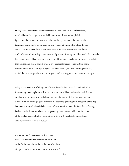*to the flower –* named after the movement of the slow seals washed off the shore, i walked home that night, surrounded by rainwater, drunk with nightfall. i put down the man & gin i was at the door as she opened to me the day's petals brimming pearls. *forgive me for coming,* i whispered. i sat on the edge where the bed ended. i sat miles away from when Sasha slept. if the child ever dreamt of a father, could it be me? if this little girl ever dreamt of growing from my shoulders, could the curves be large enough to hold an ocean, the love i rowed from one coastal town to the next nostalgia? there on the link, a field of guilt wide as two decades far apart, i stretched the poem that will touch your heart, again. again, i couldn't reach it, as i was already gone to sea, to find the depths & pearl them, not for your mother who goes extinct over & over again.

*asking –* we were part of a long line of cars & buses before a river that had no bridge. i was taking you to a place that had no home, just a small bed to share the small dreams you had with my sister who had already mothered a country full of four daughters & a small vault for keeping a good record of the economy growing from the green of the flag. before us, a long vehicle exhaled a curtain of smoke dark as the night. *keep the windows up,* i called out the driver on whose two fingers a cigarette burned, which reminded me of the sand & wooden bridge your mother, with love & matchstick, put to flames. *did we ever make it to the blue clouds?*

*why do we glow?* – someday i will love you how i love the infinitely blue allium, diamond of the field inside, dirt of the garden outside, born of a green radiance. what's the worth of a woman's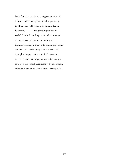life in finima? i parsed the evening news on the TV, till your mother rose up from her ultra-patriarchy, to where i had cuddled you with feminine hands, flowerette, the girl of surgical beauty. we left the Abrahamic hospital behind, & drove past the old colonies, the houses run by Adams, the sidewalks filing in & out of Edens, the apple stories. at home with a world trying hard to renew itself, trying hard to prepare the earth for the newborn, when they asked me to say your name, i named you after God: outré angel, a recherché collection of light, of the roses' bloom, sea-blue woman – *endless, endless.*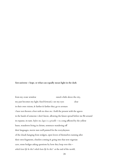## f**irst universe – hope. or what can equally mean light in the dark**

from my ovate window raised a little above the city, my past becomes my light. fixed forward, i see my eyes clear in their own visions, & farther & farther they go to avenues i have not thrown a foot with no shoe on. i hold the present with the agaves in the hands of someone i don't know, allowing the future spread before me flit around its expanse, its taste. *before me, lagos is a grisaille –* is a song affected by the yellow buses, wanderers living in chrism, sentences wandering off their languages, movie stars well painted for the everydayness of the clouds hanging from widgets, open lovers of themselves running after their own fragments, chiselers coming & going into that new nigerian cave, stone bridges asking questions by how they loop over this – *which kain life be this? which kain life be this?* at the end of the world,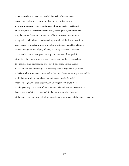a country walks into the music unaided, but well before the music ended, a suicidal writer, fluorescent, flares up in new flames, with no water in sight, & begins to set his desk where no one lives but friends of his indigence. he puts his words to oaths, & though all eyes were on him, they did not see the music. it is not clear if he is an answer to a summon, though clear to him how he writes on his grave, already built with mansions each with its own oaken windows invisible to criticism. i am old in all this, & spindly, living on a plot of grey life that, backlit by the streets, i become a twenty-first century margaret kennedy's mote moving through shafts of sunlight, dancing to what is a slow progress from our linear colonialism to a colonial llano, perhaps it's a prose forest. one of my arms rises, as if it leads an orchestra of leavings, as if by raising itself, a flag will not go down to lekki as what surrenders. i move with it deep into the music, & stop in the middle to think, for a while, about where i am going. *am i leaving for a life?* i look like angels, like boats departing on 3am lagoon, which, to those standing faraway in the color of night, appears to be still between water & music, between what sails into a house built in the future tense, the substance of the things i do not know, which are as wide as the knowledge of the things hoped for.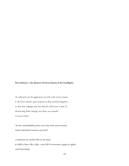# **first darkness – the distance between finima & the headlights**

*the nobel prize for the application of words in the service of man & the lower animals*, *quite desperate in their search for happiness*, *to show how unhappy they have been for 2020 years in spite of the heavenly bodies hanging over them*, *was awarded to Louise Gluck*

"for her unmistakable poetic voice that with austere beauty makes individual existence universal"

a statement my mother lifts on her head & holds it there, like a halo, a tray full of sweeteners: grapes & apples, with both hands.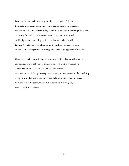i take up my haversack from the ground gelded of grace, & follow from behind the nidus, to the end of the shoreline nesting the shorebirds which sing of mercy; a certain mercy found in water. i stand, suffering next to her, as we wait for the kayak that never arrives, except a moment's rush of thin lights that, annotating the journey, bares the oil fields which, faraway & so close to us in a little corner by the forest blurred to a ridge of sand - point of departure, are arranged like the hanging gardens of Babylon.

i keep to her solid conclusions & to the root of her feet, that individual suffering can be made universal by visual intimacy. we see & wait, as we stand on "in the beginning … *the earth was without form & void,"* unlit, eternal, heads facing the deep north, aiming at the rays swift in their anchorage. though my mother believes in movement, believes in things that can be taken from the end of the ocean, like the fishes, to where they are going, we live as still as lake water.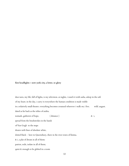# **first headlights – new york city, a letter. or glory**

dear tares, my life, full of lights, is my television. at nights, i watch it with sasha, asleep in the soft of my heart. in the day, i carry it everywhere the human condition is made visible in a relatively small theater. everything becomes creatural wherever i walk on; i live. wild. august. dated as far back as the tribes of arabia. nomads. gatherers of hope,  $\alpha$  i, spread from the brushstrokes in the hands of Van Gogh to the maps drawn with lines of absolute white, dotted black - here in Queensbury, there in the river town of finima. & i, a plat of dream in all of them: patriot, exile, isolate in all of them; quiet & enough to be globed in a room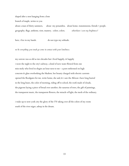shaped after a nest hanging from a lone

branch of maple, writes to you

about a man of thirty summers, about my penumbra. about home. transmissions. friends + people. geography. flags. anthems. riots. mastery. colors. colors. *wherehave i seen my brightness?*

here, i live in my hands. do not type my solitude.

*no be everything you touch go come in contact with your loneliness.*

my sorrow was as old as two decades but i lived happily, & happily i wore the night to the city's subway. a kind of new water flowed from one miss moly who lived in elegies an hour next to me - a poet enthroned on high concrete & glass overlooking the Hudson. her beauty charged with electric currents opened the floodgates for me. write home, she said, & i saw the African i have long buried in the long buses, the color of morning, riding off to school, the roofs made of clouds, the pigeons laying a piece of bread over another, the susurrus of trees, the gift of paintings, the transparent music, the transparent flowers, the miracle of light, the mesh of the ordinary.

i wake up to new york city the glory of the TV taking over all the colors of my room south of the river niger, asleep in the dream.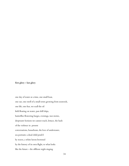# **first glory – last glory**

one day of water at a time, one small boat, one oar, one swell of a small town growing from seaweeds, one life, one fear, we scull the oil field floating on water, past drill ships, butterflies flowering barges, evenings, war stories, deepwater horizon we cannot reach, lettuce, the hush of the violence in present conversations, houseboats, the love of underwater, sea portraits: a dead child petal'd by waves, a white heron browned by the history of its own flight, to what looks like the future – the offshore night singing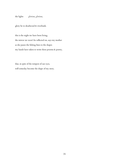the lights *glorious, glorious,*

glory be to deadwood & riverbank.

this is the night we have been living, the mirror we won't be reflected on, says my mother as she passes the fishing lines to the shapes my hands have taken to write these proems & poetry,

that, in spite of the tempest of our eyes, will someday become the shape of my story.